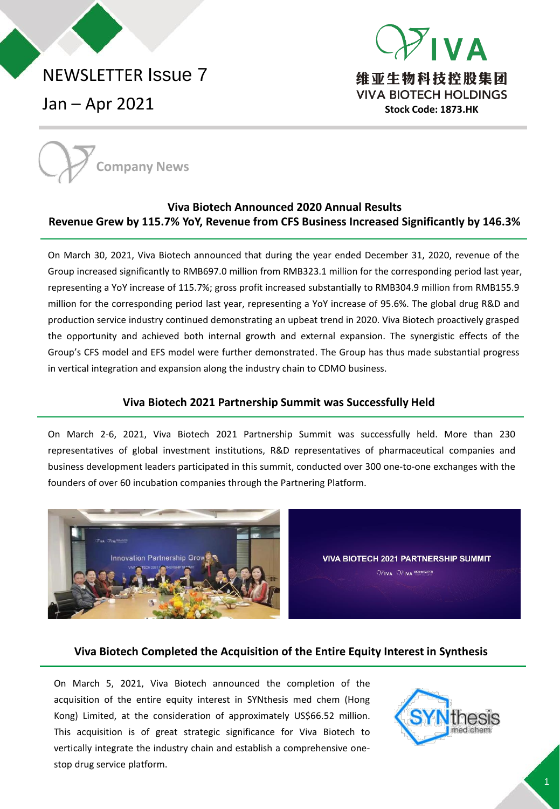# NEWSLETTER Issue 7

Jan – Apr 2021





# **Viva Biotech Announced 2020 Annual Results Revenue Grew by 115.7% YoY, Revenue from CFS Business Increased Significantly by 146.3%**

On March 30, 2021, Viva Biotech announced that during the year ended December 31, 2020, revenue of the Group increased significantly to RMB697.0 million from RMB323.1 million for the corresponding period last year, representing a YoY increase of 115.7%; gross profit increased substantially to RMB304.9 million from RMB155.9 million for the corresponding period last year, representing a YoY increase of 95.6%. The global drug R&D and production service industry continued demonstrating an upbeat trend in 2020. Viva Biotech proactively grasped the opportunity and achieved both internal growth and external expansion. The synergistic effects of the Group's CFS model and EFS model were further demonstrated. The Group has thus made substantial progress in vertical integration and expansion along the industry chain to CDMO business.

### **Viva Biotech 2021 Partnership Summit was Successfully Held**

On March 2-6, 2021, Viva Biotech 2021 Partnership Summit was successfully held. More than 230 representatives of global investment institutions, R&D representatives of pharmaceutical companies and business development leaders participated in this summit, conducted over 300 one-to-one exchanges with the founders of over 60 incubation companies through the Partnering Platform.



**VIVA BIOTECH 2021 PARTNERSHIP SUMMIT** OPIVA OPIVA BIOMOGICA

### **Viva Biotech Completed the Acquisition of the Entire Equity Interest in Synthesis**

On March 5, 2021, Viva Biotech announced the completion of the acquisition of the entire equity interest in SYNthesis med chem (Hong Kong) Limited, at the consideration of approximately US\$66.52 million. This acquisition is of great strategic significance for Viva Biotech to vertically integrate the industry chain and establish a comprehensive onestop drug service platform.

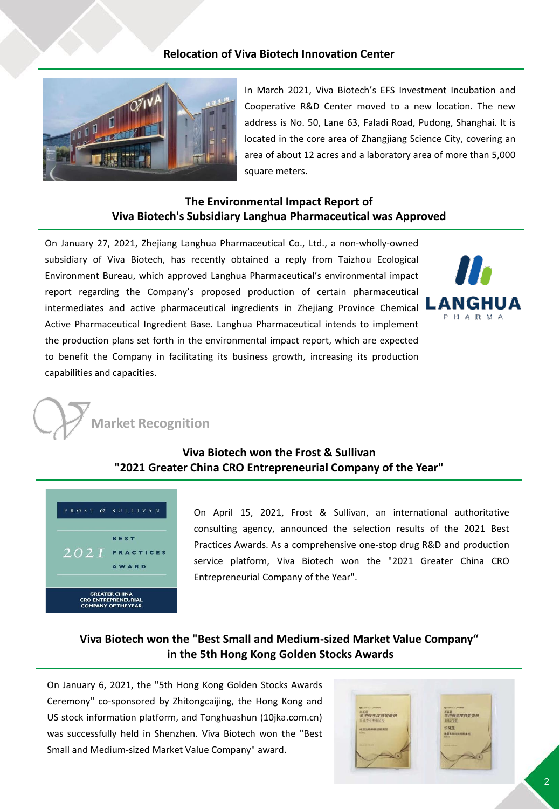### **Relocation of Viva Biotech Innovation Center**



In March 2021, Viva Biotech's EFS Investment Incubation and Cooperative R&D Center moved to a new location. The new address is No. 50, Lane 63, Faladi Road, Pudong, Shanghai. It is located in the core area of Zhangjiang Science City, covering an area of about 12 acres and a laboratory area of more than 5,000 square meters.

### **The Environmental Impact Report of Viva Biotech's Subsidiary Langhua Pharmaceutical was Approved**

On January 27, 2021, Zhejiang Langhua Pharmaceutical Co., Ltd., a non-wholly-owned subsidiary of Viva Biotech, has recently obtained a reply from Taizhou Ecological Environment Bureau, which approved Langhua Pharmaceutical's environmental impact report regarding the Company's proposed production of certain pharmaceutical intermediates and active pharmaceutical ingredients in Zhejiang Province Chemical Active Pharmaceutical Ingredient Base. Langhua Pharmaceutical intends to implement the production plans set forth in the environmental impact report, which are expected to benefit the Company in facilitating its business growth, increasing its production capabilities and capacities.





# **Viva Biotech won the Frost & Sullivan "2021 Greater China CRO Entrepreneurial Company of the Year"**



On April 15, 2021, Frost & Sullivan, an international authoritative consulting agency, announced the selection results of the 2021 Best Practices Awards. As a comprehensive one-stop drug R&D and production service platform, Viva Biotech won the "2021 Greater China CRO Entrepreneurial Company of the Year".

# **Viva Biotech won the "Best Small and Medium-sized Market Value Company" in the 5th Hong Kong Golden Stocks Awards**

On January 6, 2021, the "5th Hong Kong Golden Stocks Awards Ceremony" co-sponsored by Zhitongcaijing, the Hong Kong and US stock information platform, and Tonghuashun (10jka.com.cn) was successfully held in Shenzhen. Viva Biotech won the "Best Small and Medium-sized Market Value Company" award.

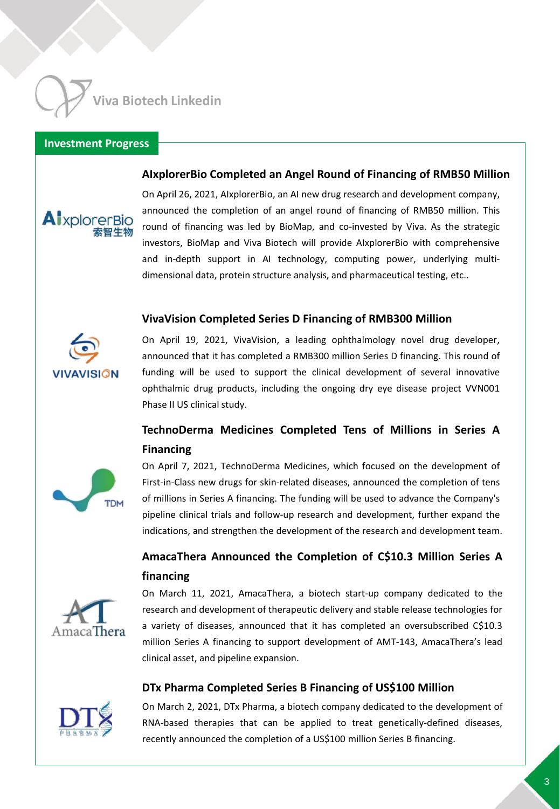**Viva Biotech Linkedin**

#### **Investment Progress**

#### **AIxplorerBio Completed an Angel Round of Financing of RMB50 Million**



On April 26, 2021, AIxplorerBio, an AI new drug research and development company, announced the completion of an angel round of financing of RMB50 million. This round of financing was led by BioMap, and co-invested by Viva. As the strategic investors, BioMap and Viva Biotech will provide AIxplorerBio with comprehensive and in-depth support in AI technology, computing power, underlying multidimensional data, protein structure analysis, and pharmaceutical testing, etc..

#### **VivaVision Completed Series D Financing of RMB300 Million**



On April 19, 2021, VivaVision, a leading ophthalmology novel drug developer, announced that it has completed a RMB300 million Series D financing. This round of funding will be used to support the clinical development of several innovative ophthalmic drug products, including the ongoing dry eye disease project VVN001 Phase II US clinical study.

# **TechnoDerma Medicines Completed Tens of Millions in Series A Financing**



On April 7, 2021, TechnoDerma Medicines, which focused on the development of First-in-Class new drugs for skin-related diseases, announced the completion of tens of millions in Series A financing. The funding will be used to advance the Company's pipeline clinical trials and follow-up research and development, further expand the indications, and strengthen the development of the research and development team.

# **AmacaThera Announced the Completion of C\$10.3 Million Series A financing**



On March 11, 2021, AmacaThera, a biotech start-up company dedicated to the research and development of therapeutic delivery and stable release technologies for a variety of diseases, announced that it has completed an oversubscribed C\$10.3 million Series A financing to support development of AMT-143, AmacaThera's lead clinical asset, and pipeline expansion.

#### **DTx Pharma Completed Series B Financing of US\$100 Million**



On March 2, 2021, DTx Pharma, a biotech company dedicated to the development of RNA-based therapies that can be applied to treat genetically-defined diseases, recently announced the completion of a US\$100 million Series B financing.